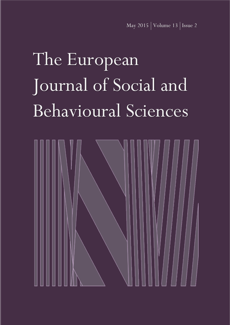# The European Journal of Social and Behavioural Sciences

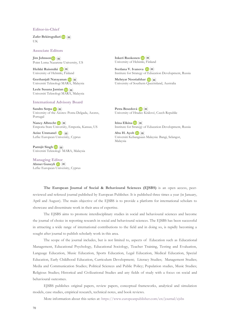# **Editor-in-Chief**

**Zafer Bekirogullari** UK

# **Associate Editors**

**Jim Johnson** Point Loma Naz[aren](mailto:mailto:jimjohnson@pointloma.edu)e University, US

**Heikki Ruismäki** University of Helsinki, [Finl](mailto:mailto:heikki.ruismaki@helsinki.fi)and

**Geethanjali Narayanan** Universiti Teknologi MARA, [Mal](mailto:mailto:geetha@uitm.edu.my)aysia

**Leele Susana Jamian** Universiti Teknologi MA[RA,](mailto:mailto:leele@uitm.edu.my) Malaysia

# **International Advisory Board**

**Sandro Serpa** University of the [Azor](mailto:mailto:sandro.nf.serpa@uac.pt)es: Ponta Delgada, Azores, Portugal

**NancyAlbrecht <b>D**  $\left( \blacksquare \right)$ Emporia State Unive[rsity](mailto:mailto:nalbrech@emporia.edu), Emporia, Kansas, US

Azize Ummanel<sup>**ID**(a)</sub></sup> Lefke European Unive[rsity](mailto:mailto:azizeummanel@yahoo.co.uk), Cyprus

**Parmjit Singh** Universiti Teknolo[gi M](mailto:mailto:parmj378@uitm.edu.my)ARA, Malaysia

**Managing Editor Ahmet Guneyli** Lefke European Uni[vers](mailto:mailto:guneyli1979@gmail.com)ity, Cyprus **Inkeri Ruokonen** University of Helsinki, Finland

**Svetlana V. Ivanova** Institute for Strategy of [Educa](mailto:mailto:info@instrao.ru)tion Development, Russia

**Mehryar Nooriafshar** University of Southern Qu[eens](mailto:mailto:mehriyaar@gmail.com)land, Australia

**Petra Besedová** University of Hradec [Krá](mailto:mailto:petra.besedova@uhk.cz)lové, Czech Republic

**Irina Elkina** Institute for Stra[tegy](mailto:mailto:egret1@yandex.ru) of Education Development, Russia

**Abu H. Ayob** Universiti Kebang[saan](mailto:mailto:abuhanifah.ayob@ukm.edu.my) Malaysia: Bangi, Selangor, Malaysia

**The European Journal of Social & Behavioural Sciences (EJSBS)** is an open access, peerreviewed and refereed journal published by European Publisher. It is published three times a year (in January, April and August). The main objective of the EJSBS is to provide a platform for international scholars to showcase and disseminate work in their area of expertise.

The EJSBS aims to promote interdisciplinary studies in social and behavioural sciences and become the journal of choice in reporting research in social and behavioural sciences. The EJSBS has been successful in attracting a wide range of international contributions to the field and in doing so, is rapidly becoming a sought after journal to publish scholarly work in this area.

The scope of the journal includes, but is not limited to, aspects of Education such as Educational Management, Educational Psychology, Educational Sociology, Teacher Training, Testing and Evaluation, Language Education, Music Education, Sports Education, Legal Education, Medical Education, Special Education, Early Childhood Education, Curriculum Development; Literacy Studies; Management Studies; Media and Communication Studies; Political Sciences and Public Policy; Population studies, Music Studies; Religious Studies; Historical and Civilizational Studies and any fields of study with a focus on social and behavioural outcomes.

EJSBS publishes original papers, review papers, conceptual frameworks, analytical and simulation models, case studies, empirical research, technical notes, and book reviews.

More information about this series at: <https://www.europeanpublisher.com/en/journal/ejsbs>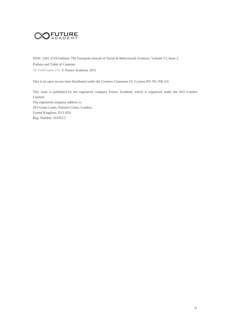

ISSN: 2301-2218 (online). The European Journal of Social & Behavioural Sciences. Volume 13, Issue 2. Prelims and Table of Contents <10.15405/ejsbs.154>© Future Academy 2015

This is an open access item distributed under the Creative Commons CC License BY-NC-ND 4.0.

This issue is published by the registered company Future Academy which is registered under the ISO London Limited. The registered company address is: 293 Green Lanes, Palmers Green, London, United Kingdom, N13 4XS Reg. Number: 9219513